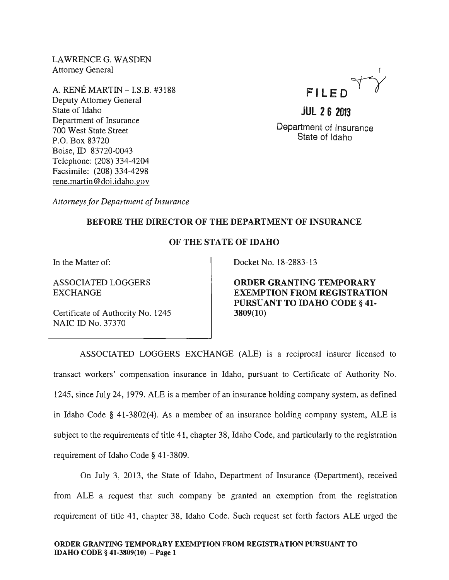LAWRENCE G. WASDEN Attorney General

A. RENE MARTIN - I.S.B. #3188 Deputy Attorney General State of Idaho Department of Insurance 700 West State Street P.O. Box 83720 Boise, ID 83720-0043 Telephone: (208) 334-4204 Facsimile: (208) 334-4298 rene.martin@doi.idaho.gov



**JUl 26 2013**  Department of Insurance State of Idaho

*Attorneys for Department of Insurance* 

## BEFORE THE DIRECTOR OF THE DEPARTMENT OF INSURANCE

## OF THE STATE OF IDAHO

In the Matter of:

ASSOCIATED LOGGERS EXCHANGE

Certificate of Authority No. 1245 NAIC ID No. 37370

Docket No. 18-2883-13

ORDER GRANTING TEMPORARY EXEMPTION FROM REGISTRATION PURSUANT TO IDAHO CODE § 41- 3809(10)

ASSOCIATED LOGGERS EXCHANGE (ALE) is a reciprocal insurer licensed to transact workers' compensation insurance in Idaho, pursuant to Certificate of Authority No. 1245, since July 24, 1979. ALE is a member of an insurance holding company system, as defined in Idaho Code § 41-3802(4). As a member of an insurance holding company system, ALE is subject to the requirements of title 41, chapter 38, Idaho Code, and particularly to the registration requirement of Idaho Code § 41-3809.

On July 3, 2013, the State of Idaho, Department of Insurance (Department), received from ALE a request that such company be granted an exemption from the registration requirement of title 41, chapter 38, Idaho Code. Such request set forth factors ALE urged the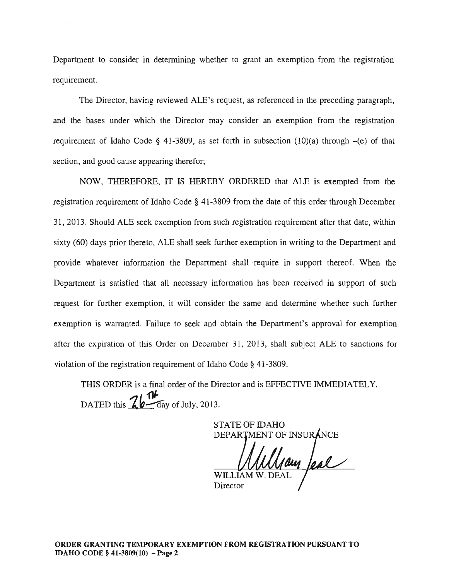Department to consider in determining whether to grant an exemption from the registration requirement.

The Director, having reviewed ALE's request, as referenced in the preceding paragraph, and the bases under which the Director may consider an exemption from the registration requirement of Idaho Code § 41-3809, as set forth in subsection  $(10)(a)$  through  $-(e)$  of that section, and good cause appearing therefor;

NOW, THEREFORE, IT IS HEREBY ORDERED that ALE is exempted from the registration requirement of Idaho Code § 41-3809 from the date of this order through December 31, 2013. Should ALE seek exemption from such registration requirement after that date, within sixty (60) days prior thereto, ALE shall seek further exemption in writing to the Department and provide whatever information the Department shall ·require in support thereof. When the Department is satisfied that all necessary information has been received in support of such request for further exemption, it will consider the same and determine whether such further exemption is warranted. Failure to seek and obtain the Department's approval for exemption after the expiration of this Order on December 31, 2013, shall subject ALE to sanctions for violation of the registration requirement of Idaho Code § 41-3809.

THIS ORDER is a final order of the Director and is EFFECTIVE IMMEDIATELY. DATED this  $\frac{76}{10}$  day of July, 2013.

> STATE OF IDAHO DEPARTMENT OF INSURANG

Jay Jeal WILLIAM

**Director**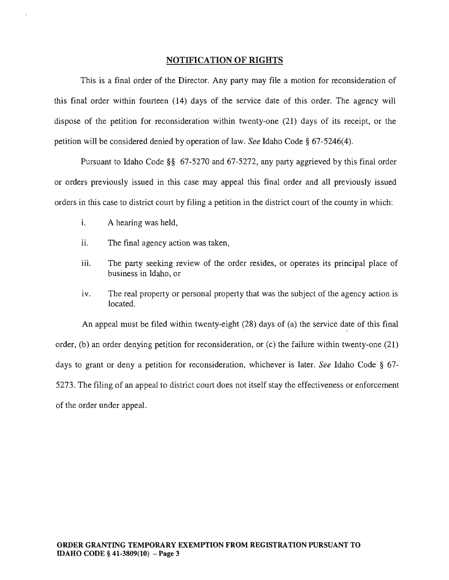## NOTIFICATION OF RIGHTS

This is a final order of the Director. Any party may file a motion for reconsideration of this final order within fourteen (14) days of the service date of this order. The agency will dispose of the petition for reconsideration within twenty-one (21) days of its receipt, or the petition will be considered denied by operation of law. *See* Idaho Code § 67-5246(4).

Pursuant to Idaho Code §§ 67-5270 and 67-5272, any party aggrieved by this final order or orders previously issued in this case may appeal this final order and all previously issued orders in this case to district court by filing a petition in the district court of the county in which:

- i. A hearing was held,
- ii. The final agency action was taken,
- iii. The party seeking review of the order resides, or operates its principal place of business in Idaho, or
- iv. The real property or personal property that was the subject of the agency action is located.

An appeal must be filed within twenty-eight (28) days of (a) the service date of this final order, (b) an order denying petition for reconsideration, or (c) the failure within twenty-one (21) days to grant or deny a petition for reconsideration, whichever is later. *See* Idaho Code § 67- 5273. The filing of an appeal to district court does not itself stay the effectiveness or enforcement of the order under appeal.